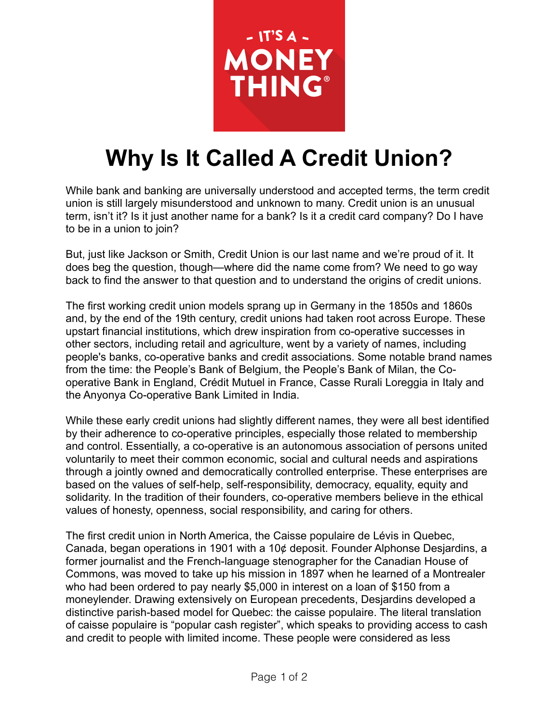

## **Why Is It Called A Credit Union?**

While bank and banking are universally understood and accepted terms, the term credit union is still largely misunderstood and unknown to many. Credit union is an unusual term, isn't it? Is it just another name for a bank? Is it a credit card company? Do I have to be in a union to join?

But, just like Jackson or Smith, Credit Union is our last name and we're proud of it. It does beg the question, though—where did the name come from? We need to go way back to find the answer to that question and to understand the origins of credit unions.

The first working credit union models sprang up in Germany in the 1850s and 1860s and, by the end of the 19th century, credit unions had taken root across Europe. These upstart financial institutions, which drew inspiration from co-operative successes in other sectors, including retail and agriculture, went by a variety of names, including people's banks, co-operative banks and credit associations. Some notable brand names from the time: the People's Bank of Belgium, the People's Bank of Milan, the Cooperative Bank in England, Crédit Mutuel in France, Casse Rurali Loreggia in Italy and the Anyonya Co-operative Bank Limited in India.

While these early credit unions had slightly different names, they were all best identified by their adherence to co-operative principles, especially those related to membership and control. Essentially, a co-operative is an autonomous association of persons united voluntarily to meet their common economic, social and cultural needs and aspirations through a jointly owned and democratically controlled enterprise. These enterprises are based on the values of self-help, self-responsibility, democracy, equality, equity and solidarity. In the tradition of their founders, co-operative members believe in the ethical values of honesty, openness, social responsibility, and caring for others.

The first credit union in North America, the Caisse populaire de Lévis in Quebec, Canada, began operations in 1901 with a 10¢ deposit. Founder Alphonse Desjardins, a former journalist and the French-language stenographer for the Canadian House of Commons, was moved to take up his mission in 1897 when he learned of a Montrealer who had been ordered to pay nearly \$5,000 in interest on a loan of \$150 from a moneylender. Drawing extensively on European precedents, Desjardins developed a distinctive parish-based model for Quebec: the caisse populaire. The literal translation of caisse populaire is "popular cash register", which speaks to providing access to cash and credit to people with limited income. These people were considered as less